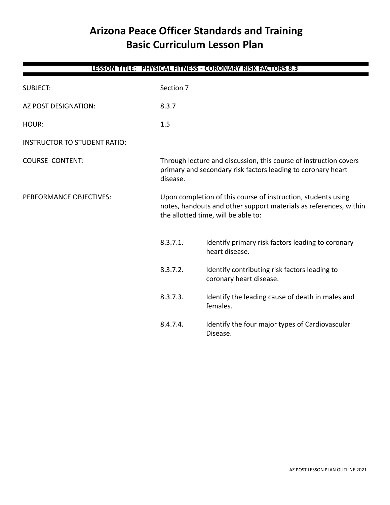# **Arizona Peace Officer Standards and Training Basic Curriculum Lesson Plan**

| <b>LESSON TITLE: PHYSICAL FITNESS - CORONARY RISK FACTORS 8.3</b> |                                                                                                                                                                           |                                                                                                                                   |  |
|-------------------------------------------------------------------|---------------------------------------------------------------------------------------------------------------------------------------------------------------------------|-----------------------------------------------------------------------------------------------------------------------------------|--|
| <b>SUBJECT:</b>                                                   | Section 7                                                                                                                                                                 |                                                                                                                                   |  |
| AZ POST DESIGNATION:                                              | 8.3.7                                                                                                                                                                     |                                                                                                                                   |  |
| HOUR:                                                             | 1.5                                                                                                                                                                       |                                                                                                                                   |  |
| <b>INSTRUCTOR TO STUDENT RATIO:</b>                               |                                                                                                                                                                           |                                                                                                                                   |  |
| <b>COURSE CONTENT:</b>                                            | disease.                                                                                                                                                                  | Through lecture and discussion, this course of instruction covers<br>primary and secondary risk factors leading to coronary heart |  |
| PERFORMANCE OBJECTIVES:                                           | Upon completion of this course of instruction, students using<br>notes, handouts and other support materials as references, within<br>the allotted time, will be able to: |                                                                                                                                   |  |
|                                                                   | 8.3.7.1.                                                                                                                                                                  | Identify primary risk factors leading to coronary<br>heart disease.                                                               |  |
|                                                                   | 8.3.7.2.                                                                                                                                                                  | Identify contributing risk factors leading to<br>coronary heart disease.                                                          |  |
|                                                                   | 8.3.7.3.                                                                                                                                                                  | Identify the leading cause of death in males and<br>females.                                                                      |  |
|                                                                   | 8.4.7.4.                                                                                                                                                                  | Identify the four major types of Cardiovascular<br>Disease.                                                                       |  |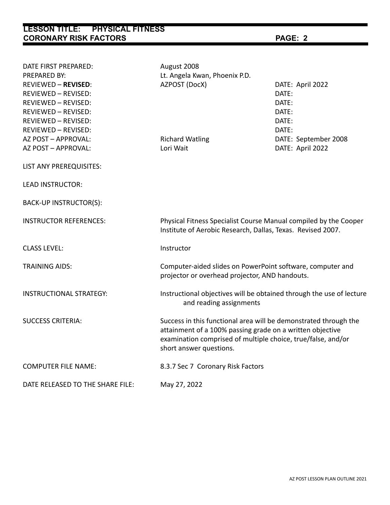**LESSON TITLE: PHYSICAL FITNESS CORONARY RISK FACTORS PAGE: 2** DATE FIRST PREPARED: August 2008 PREPARED BY: Lt. Angela Kwan, Phoenix P.D. REVIEWED – **REVISED**: AZPOST (DocX) DATE: April 2022 REVIEWED – REVISED: DATE: REVIEWED – REVISED: DATE: REVIEWED – REVISED: DATE: REVIEWED – REVISED: DATE: REVIEWED – REVISED: DATE: AZ POST – APPROVAL: Richard Watling DATE: September 2008 AZ POST – APPROVAL: Lori Wait DATE: April 2022 LIST ANY PREREQUISITES: LEAD INSTRUCTOR: BACK-UP INSTRUCTOR(S): INSTRUCTOR REFERENCES: Physical Fitness Specialist Course Manual compiled by the Cooper Institute of Aerobic Research, Dallas, Texas. Revised 2007. CLASS LEVEL: Instructor TRAINING AIDS: Computer-aided slides on PowerPoint software, computer and projector or overhead projector, AND handouts. INSTRUCTIONAL STRATEGY: Instructional objectives will be obtained through the use of lecture and reading assignments SUCCESS CRITERIA: Success in this functional area will be demonstrated through the attainment of a 100% passing grade on a written objective examination comprised of multiple choice, true/false, and/or short answer questions. COMPUTER FILE NAME: 8.3.7 Sec 7 Coronary Risk Factors DATE RELEASED TO THE SHARE FILE: May 27, 2022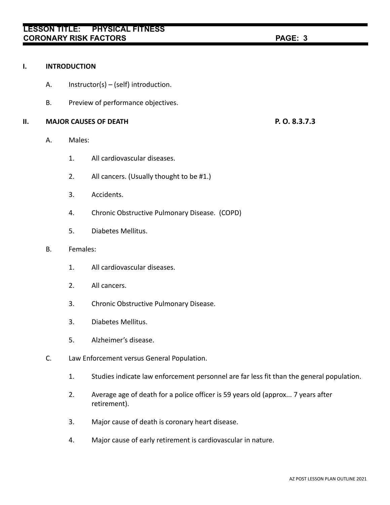### **I. INTRODUCTION**

- A. Instructor(s) (self) introduction.
- B. Preview of performance objectives.

### **II. MAJOR CAUSES OF DEATH P. O. 8.3.7.3**

- A. Males:
	- 1. All cardiovascular diseases.
	- 2. All cancers. (Usually thought to be #1.)
	- 3. Accidents.
	- 4. Chronic Obstructive Pulmonary Disease. (COPD)
	- 5. Diabetes Mellitus.

## B. Females:

- 1. All cardiovascular diseases.
- 2. All cancers.
- 3. Chronic Obstructive Pulmonary Disease.
- 3. Diabetes Mellitus.
- 5. Alzheimer's disease.
- C. Law Enforcement versus General Population.
	- 1. Studies indicate law enforcement personnel are far less fit than the general population.
	- 2. Average age of death for a police officer is 59 years old (approx... 7 years after retirement).
	- 3. Major cause of death is coronary heart disease.
	- 4. Major cause of early retirement is cardiovascular in nature.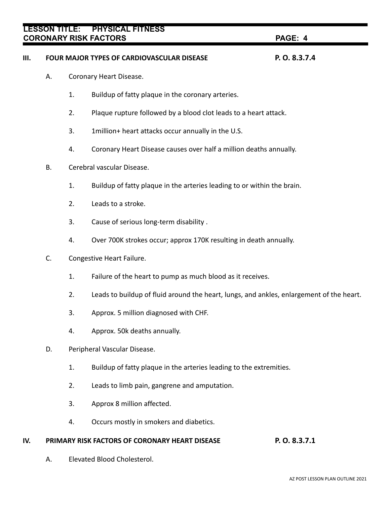# **III. FOUR MAJOR TYPES OF CARDIOVASCULAR DISEASE P. O. 8.3.7.4**

- A. Coronary Heart Disease.
	- 1. Buildup of fatty plaque in the coronary arteries.
	- 2. Plaque rupture followed by a blood clot leads to a heart attack.
	- 3. 1million+ heart attacks occur annually in the U.S.
	- 4. Coronary Heart Disease causes over half a million deaths annually.
- B. Cerebral vascular Disease.
	- 1. Buildup of fatty plaque in the arteries leading to or within the brain.
	- 2. Leads to a stroke.
	- 3. Cause of serious long-term disability .
	- 4. Over 700K strokes occur; approx 170K resulting in death annually.
- C. Congestive Heart Failure.
	- 1. Failure of the heart to pump as much blood as it receives.
	- 2. Leads to buildup of fluid around the heart, lungs, and ankles, enlargement of the heart.
	- 3. Approx. 5 million diagnosed with CHF.
	- 4. Approx. 50k deaths annually.
- D. Peripheral Vascular Disease.
	- 1. Buildup of fatty plaque in the arteries leading to the extremities.
	- 2. Leads to limb pain, gangrene and amputation.
	- 3. Approx 8 million affected.
	- 4. Occurs mostly in smokers and diabetics.

# **IV. PRIMARY RISK FACTORS OF CORONARY HEART DISEASE P. O. 8.3.7.1**

A. Elevated Blood Cholesterol.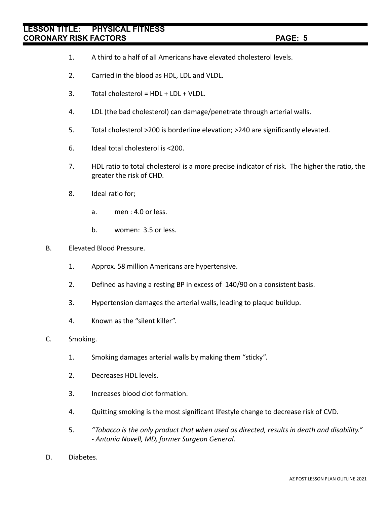- 1. A third to a half of all Americans have elevated cholesterol levels.
- 2. Carried in the blood as HDL, LDL and VLDL.
- 3. Total cholesterol = HDL + LDL + VLDL.
- 4. LDL (the bad cholesterol) can damage/penetrate through arterial walls.
- 5. Total cholesterol >200 is borderline elevation; >240 are significantly elevated.
- 6. Ideal total cholesterol is <200.
- 7. HDL ratio to total cholesterol is a more precise indicator of risk. The higher the ratio, the greater the risk of CHD.
- 8. Ideal ratio for;
	- a. men : 4.0 or less.
	- b. women: 3.5 or less.
- B. Elevated Blood Pressure.
	- 1. Approx. 58 million Americans are hypertensive.
	- 2. Defined as having a resting BP in excess of 140/90 on a consistent basis.
	- 3. Hypertension damages the arterial walls, leading to plaque buildup.
	- 4. Known as the "silent killer".
- C. Smoking.
	- 1. Smoking damages arterial walls by making them "sticky".
	- 2. Decreases HDL levels.
	- 3. Increases blood clot formation.
	- 4. Quitting smoking is the most significant lifestyle change to decrease risk of CVD.
	- 5. *"Tobacco is the only product that when used as directed, results in death and disability." - Antonia Novell, MD, former Surgeon General.*
- D. Diabetes.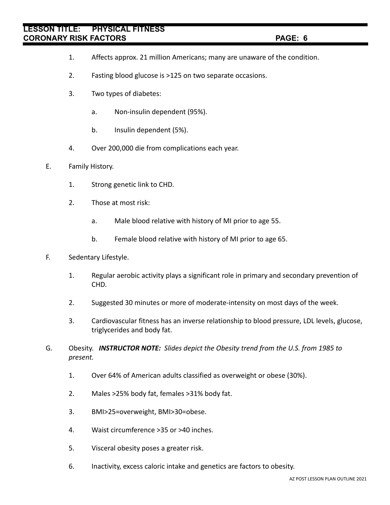- 1. Affects approx. 21 million Americans; many are unaware of the condition.
- 2. Fasting blood glucose is >125 on two separate occasions.
- 3. Two types of diabetes:
	- a. Non-insulin dependent (95%).
	- b. Insulin dependent (5%).
- 4. Over 200,000 die from complications each year.
- E. Family History.
	- 1. Strong genetic link to CHD.
	- 2. Those at most risk:
		- a. Male blood relative with history of MI prior to age 55.
		- b. Female blood relative with history of MI prior to age 65.
- F. Sedentary Lifestyle.
	- 1. Regular aerobic activity plays a significant role in primary and secondary prevention of CHD.
	- 2. Suggested 30 minutes or more of moderate-intensity on most days of the week.
	- 3. Cardiovascular fitness has an inverse relationship to blood pressure, LDL levels, glucose, triglycerides and body fat.
- G. Obesity. *INSTRUCTOR NOTE: Slides depict the Obesity trend from the U.S. from 1985 to present.*
	- 1. Over 64% of American adults classified as overweight or obese (30%).
	- 2. Males >25% body fat, females >31% body fat.
	- 3. BMI>25=overweight, BMI>30=obese.
	- 4. Waist circumference >35 or >40 inches.
	- 5. Visceral obesity poses a greater risk.
	- 6. Inactivity, excess caloric intake and genetics are factors to obesity.